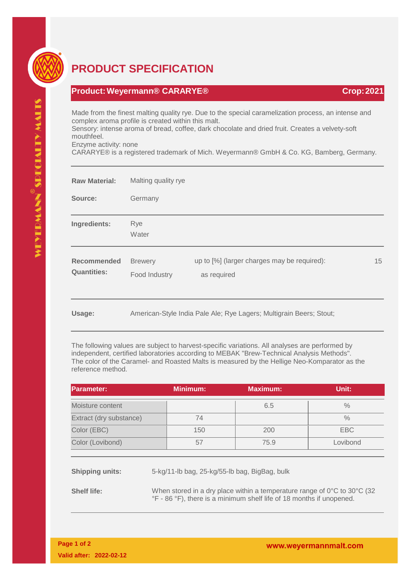

## **PRODUCT SPECIFICATION**

## **Product:Weyermann® CARARYE® Crop:2021**

Made from the finest malting quality rye. Due to the special caramelization process, an intense and complex aroma profile is created within this malt.

Sensory: intense aroma of bread, coffee, dark chocolate and dried fruit. Creates a velvety-soft mouthfeel.

Enzyme activity: none

CARARYE® is a registered trademark of Mich. Weyermann® GmbH & Co. KG, Bamberg, Germany.

| <b>Raw Material:</b>              | Malting quality rye                                                 |                                                            |    |
|-----------------------------------|---------------------------------------------------------------------|------------------------------------------------------------|----|
| Source:                           | Germany                                                             |                                                            |    |
| Ingredients:                      | Rye<br>Water                                                        |                                                            |    |
| Recommended<br><b>Quantities:</b> | <b>Brewery</b><br>Food Industry                                     | up to [%] (larger charges may be required):<br>as required | 15 |
| Usage:                            | American-Style India Pale Ale; Rye Lagers; Multigrain Beers; Stout; |                                                            |    |

The following values are subject to harvest-specific variations. All analyses are performed by independent, certified laboratories according to MEBAK "Brew-Technical Analysis Methods". The color of the Caramel- and Roasted Malts is measured by the Hellige Neo-Komparator as the reference method.

| <b>IParameter:</b>      | <b>Minimum:</b> | <b>Maximum:</b> | Unit:    |
|-------------------------|-----------------|-----------------|----------|
| Moisture content        |                 | 6.5             | $\%$     |
| Extract (dry substance) | 74              |                 | $\%$     |
| Color (EBC)             | 150             | 200             | EBC      |
| Color (Lovibond)        | 57              | 75.9            | Lovibond |

**Shipping units:** 5-kg/11-lb bag, 25-kg/55-lb bag, BigBag, bulk

**Shelf life:** When stored in a dry place within a temperature range of 0°C to 30°C (32 °F - 86 °F), there is a minimum shelf life of 18 months if unopened.